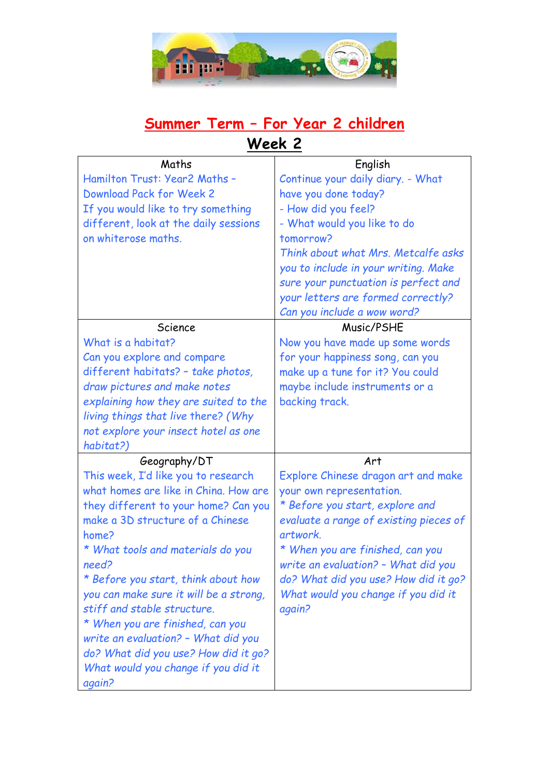

## **Summer Term – For Year 2 children**

**Week 2**

| Maths                                         | English                                |
|-----------------------------------------------|----------------------------------------|
| Hamilton Trust: Year2 Maths -                 | Continue your daily diary. - What      |
| Download Pack for Week 2                      | have you done today?                   |
| If you would like to try something            | - How did you feel?                    |
| different, look at the daily sessions         | - What would you like to do            |
| on whiterose maths.                           | tomorrow?                              |
|                                               | Think about what Mrs. Metcalfe asks    |
|                                               | you to include in your writing. Make   |
|                                               | sure your punctuation is perfect and   |
|                                               | your letters are formed correctly?     |
|                                               | Can you include a wow word?            |
| Science                                       | Music/PSHE                             |
| What is a habitat?                            | Now you have made up some words        |
| Can you explore and compare                   | for your happiness song, can you       |
| different habitats? - take photos,            | make up a tune for it? You could       |
| draw pictures and make notes                  | maybe include instruments or a         |
| explaining how they are suited to the         | backing track.                         |
| living things that live there? (Why           |                                        |
| not explore your insect hotel as one          |                                        |
|                                               |                                        |
| habitat?)                                     |                                        |
| Geography/DT                                  | Art                                    |
| This week, I'd like you to research           | Explore Chinese dragon art and make    |
| what homes are like in China. How are         | your own representation.               |
| they different to your home? Can you          | * Before you start, explore and        |
| make a 3D structure of a Chinese              | evaluate a range of existing pieces of |
| home?                                         | artwork.                               |
| * What tools and materials do you             | * When you are finished, can you       |
| need?                                         | write an evaluation? - What did you    |
| * Before you start, think about how           | do? What did you use? How did it go?   |
| you can make sure it will be a strong,        | What would you change if you did it    |
| stiff and stable structure.                   | again?                                 |
| * When you are finished, can you              |                                        |
| write an evaluation? - What did you           |                                        |
| do? What did you use? How did it go?          |                                        |
| What would you change if you did it<br>again? |                                        |